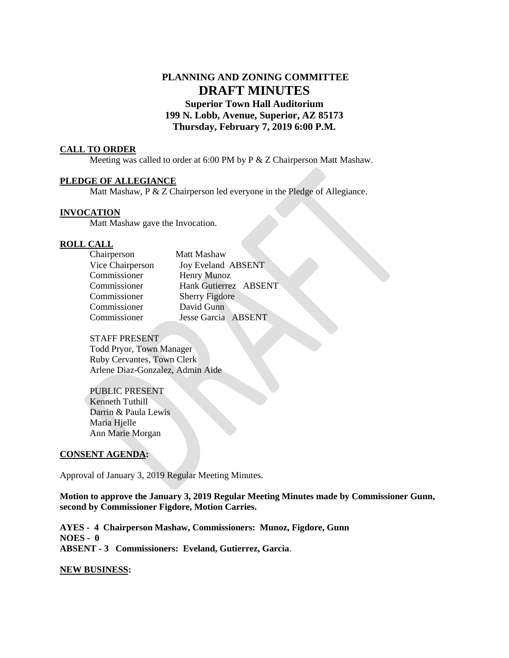# **PLANNING AND ZONING COMMITTEE DRAFT MINUTES Superior Town Hall Auditorium 199 N. Lobb, Avenue, Superior, AZ 85173 Thursday, February 7, 2019 6:00 P.M.**

#### **CALL TO ORDER**

Meeting was called to order at 6:00 PM by P & Z Chairperson Matt Mashaw.

## **PLEDGE OF ALLEGIANCE**

Matt Mashaw, P & Z Chairperson led everyone in the Pledge of Allegiance.

#### **INVOCATION**

Matt Mashaw gave the Invocation.

#### **ROLL CALL**

| Chairperson      | Matt Mashaw           |
|------------------|-----------------------|
| Vice Chairperson | Joy Eveland ABSENT    |
| Commissioner     | Henry Munoz           |
| Commissioner     | Hank Gutierrez ABSENT |
| Commissioner     | <b>Sherry Figdore</b> |
| Commissioner     | David Gunn            |
| Commissioner     | Jesse Garcia ABSENT   |

#### STAFF PRESENT

Todd Pryor, Town Manager Ruby Cervantes, Town Clerk Arlene Diaz-Gonzalez, Admin Aide

PUBLIC PRESENT Kenneth Tuthill Darrin & Paula Lewis Maria Hjelle Ann Marie Morgan

#### **CONSENT AGENDA:**

Approval of January 3, 2019 Regular Meeting Minutes.

**Motion to approve the January 3, 2019 Regular Meeting Minutes made by Commissioner Gunn, second by Commissioner Figdore, Motion Carries.** 

**AYES - 4 Chairperson Mashaw, Commissioners: Munoz, Figdore, Gunn NOES - 0 ABSENT - 3 Commissioners: Eveland, Gutierrez, Garcia**.

#### **NEW BUSINESS:**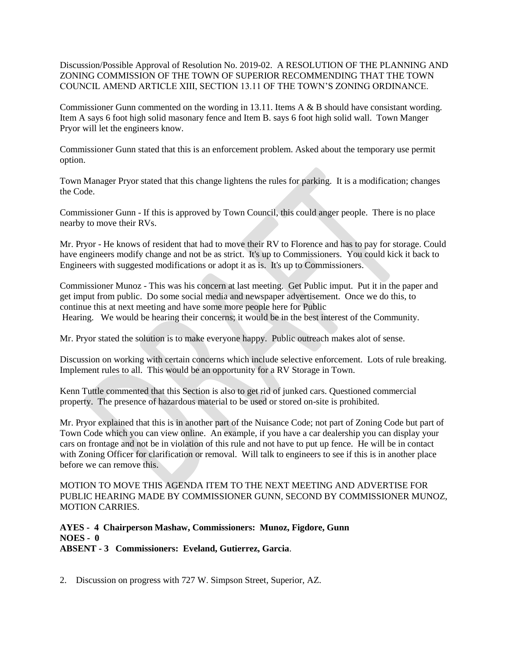Discussion/Possible Approval of Resolution No. 2019-02. A RESOLUTION OF THE PLANNING AND ZONING COMMISSION OF THE TOWN OF SUPERIOR RECOMMENDING THAT THE TOWN COUNCIL AMEND ARTICLE XIII, SECTION 13.11 OF THE TOWN'S ZONING ORDINANCE.

Commissioner Gunn commented on the wording in 13.11. Items A & B should have consistant wording. Item A says 6 foot high solid masonary fence and Item B. says 6 foot high solid wall. Town Manger Pryor will let the engineers know.

Commissioner Gunn stated that this is an enforcement problem. Asked about the temporary use permit option.

Town Manager Pryor stated that this change lightens the rules for parking. It is a modification; changes the Code.

Commissioner Gunn - If this is approved by Town Council, this could anger people. There is no place nearby to move their RVs.

Mr. Pryor - He knows of resident that had to move their RV to Florence and has to pay for storage. Could have engineers modify change and not be as strict. It's up to Commissioners. You could kick it back to Engineers with suggested modifications or adopt it as is. It's up to Commissioners.

Commissioner Munoz - This was his concern at last meeting. Get Public imput. Put it in the paper and get imput from public. Do some social media and newspaper advertisement. Once we do this, to continue this at next meeting and have some more people here for Public Hearing. We would be hearing their concerns; it would be in the best interest of the Community.

Mr. Pryor stated the solution is to make everyone happy. Public outreach makes alot of sense.

Discussion on working with certain concerns which include selective enforcement. Lots of rule breaking. Implement rules to all. This would be an opportunity for a RV Storage in Town.

Kenn Tuttle commented that this Section is also to get rid of junked cars. Questioned commercial property. The presence of hazardous material to be used or stored on-site is prohibited.

Mr. Pryor explained that this is in another part of the Nuisance Code; not part of Zoning Code but part of Town Code which you can view online. An example, if you have a car dealership you can display your cars on frontage and not be in violation of this rule and not have to put up fence. He will be in contact with Zoning Officer for clarification or removal. Will talk to engineers to see if this is in another place before we can remove this.

MOTION TO MOVE THIS AGENDA ITEM TO THE NEXT MEETING AND ADVERTISE FOR PUBLIC HEARING MADE BY COMMISSIONER GUNN, SECOND BY COMMISSIONER MUNOZ, MOTION CARRIES.

**AYES - 4 Chairperson Mashaw, Commissioners: Munoz, Figdore, Gunn NOES - 0 ABSENT - 3 Commissioners: Eveland, Gutierrez, Garcia**.

2. Discussion on progress with 727 W. Simpson Street, Superior, AZ.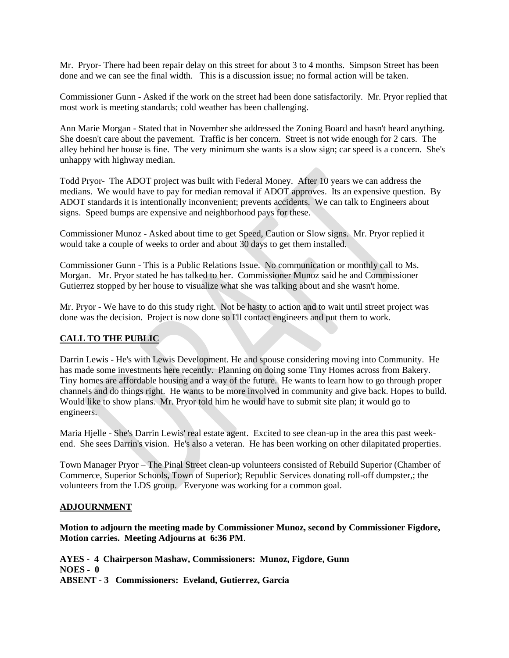Mr. Pryor- There had been repair delay on this street for about 3 to 4 months. Simpson Street has been done and we can see the final width. This is a discussion issue; no formal action will be taken.

Commissioner Gunn - Asked if the work on the street had been done satisfactorily. Mr. Pryor replied that most work is meeting standards; cold weather has been challenging.

Ann Marie Morgan - Stated that in November she addressed the Zoning Board and hasn't heard anything. She doesn't care about the pavement. Traffic is her concern. Street is not wide enough for 2 cars. The alley behind her house is fine. The very minimum she wants is a slow sign; car speed is a concern. She's unhappy with highway median.

Todd Pryor- The ADOT project was built with Federal Money. After 10 years we can address the medians. We would have to pay for median removal if ADOT approves. Its an expensive question. By ADOT standards it is intentionally inconvenient; prevents accidents. We can talk to Engineers about signs. Speed bumps are expensive and neighborhood pays for these.

Commissioner Munoz - Asked about time to get Speed, Caution or Slow signs. Mr. Pryor replied it would take a couple of weeks to order and about 30 days to get them installed.

Commissioner Gunn - This is a Public Relations Issue. No communication or monthly call to Ms. Morgan. Mr. Pryor stated he has talked to her. Commissioner Munoz said he and Commissioner Gutierrez stopped by her house to visualize what she was talking about and she wasn't home.

Mr. Pryor - We have to do this study right. Not be hasty to action and to wait until street project was done was the decision. Project is now done so I'll contact engineers and put them to work.

# **CALL TO THE PUBLIC**

Darrin Lewis - He's with Lewis Development. He and spouse considering moving into Community. He has made some investments here recently. Planning on doing some Tiny Homes across from Bakery. Tiny homes are affordable housing and a way of the future. He wants to learn how to go through proper channels and do things right. He wants to be more involved in community and give back. Hopes to build. Would like to show plans. Mr. Pryor told him he would have to submit site plan; it would go to engineers.

Maria Hjelle - She's Darrin Lewis' real estate agent. Excited to see clean-up in the area this past weekend. She sees Darrin's vision. He's also a veteran. He has been working on other dilapitated properties.

Town Manager Pryor – The Pinal Street clean-up volunteers consisted of Rebuild Superior (Chamber of Commerce, Superior Schools, Town of Superior); Republic Services donating roll-off dumpster,; the volunteers from the LDS group. Everyone was working for a common goal.

## **ADJOURNMENT**

**Motion to adjourn the meeting made by Commissioner Munoz, second by Commissioner Figdore, Motion carries. Meeting Adjourns at 6:36 PM**.

**AYES - 4 Chairperson Mashaw, Commissioners: Munoz, Figdore, Gunn NOES - 0 ABSENT - 3 Commissioners: Eveland, Gutierrez, Garcia**